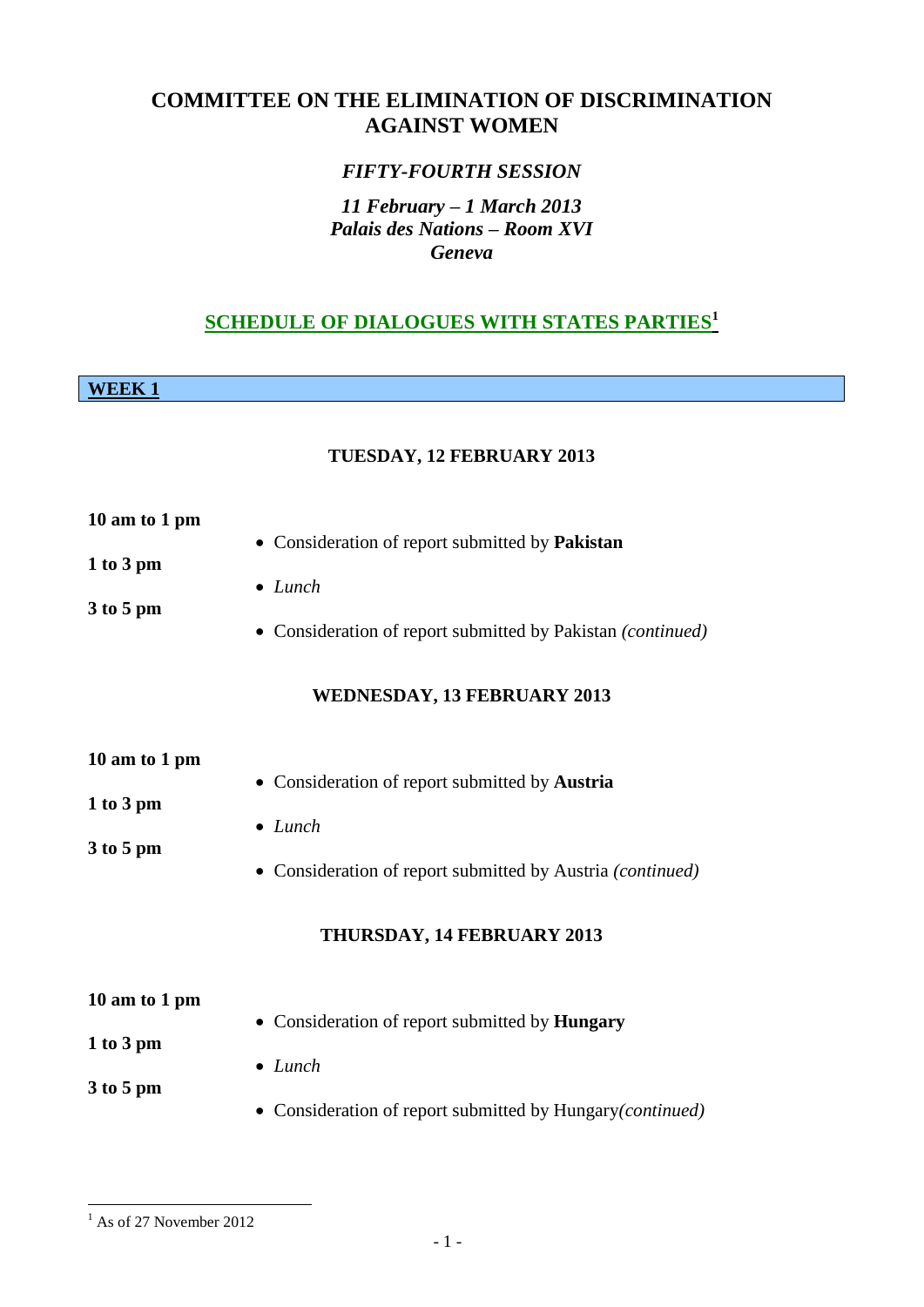## **COMMITTEE ON THE ELIMINATION OF DISCRIMINATION AGAINST WOMEN**

## *FIFTY-FOURTH SESSION*

## *11 February – 1 March 2013 Palais des Nations – Room XVI Geneva*

## **SCHEDULE OF DIALOGUES WITH STATES PARTIES<sup>1</sup>**

**WEEK 1**

#### **TUESDAY, 12 FEBRUARY 2013**

| 10 am to 1 pm                               |                                                                                                                                                               |
|---------------------------------------------|---------------------------------------------------------------------------------------------------------------------------------------------------------------|
| 1 to 3 pm<br>3 to 5 pm                      | • Consideration of report submitted by Pakistan<br>$\bullet$ Lunch<br>• Consideration of report submitted by Pakistan (continued)                             |
|                                             | WEDNESDAY, 13 FEBRUARY 2013                                                                                                                                   |
| 10 am to 1 pm<br>1 to 3 pm<br>3 to 5 pm     | • Consideration of report submitted by Austria<br>$\bullet$ Lunch<br>• Consideration of report submitted by Austria (continued)<br>THURSDAY, 14 FEBRUARY 2013 |
| 10 am to 1 pm<br>$1$ to $3$ pm<br>3 to 5 pm | • Consideration of report submitted by Hungary<br>$\bullet$ Lunch<br>• Consideration of report submitted by Hungary(continued)                                |

<sup>&</sup>lt;u>.</u>  $1$  As of 27 November 2012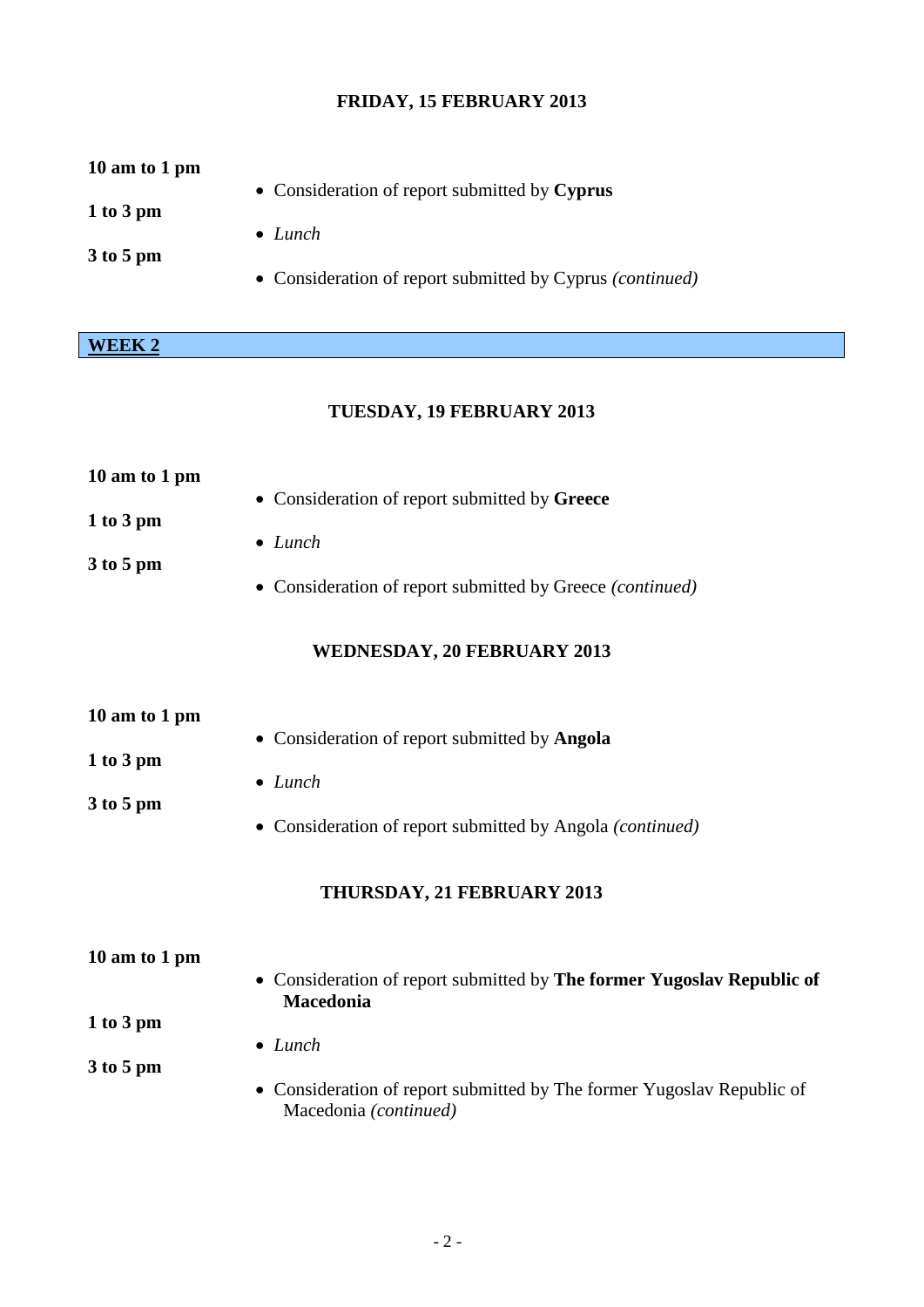## **FRIDAY, 15 FEBRUARY 2013**

| 10 am to 1 pm |                                                                  |
|---------------|------------------------------------------------------------------|
| $1$ to $3$ pm | • Consideration of report submitted by Cyprus<br>$\bullet$ Lunch |
| $3$ to 5 pm   |                                                                  |
|               | • Consideration of report submitted by Cyprus <i>(continued)</i> |

# **WEEK 2**

## **TUESDAY, 19 FEBRUARY 2013**

| 10 am to 1 pm                             |                                                                                                                                          |
|-------------------------------------------|------------------------------------------------------------------------------------------------------------------------------------------|
| 1 to 3 pm                                 | • Consideration of report submitted by Greece<br>$\bullet$ Lunch                                                                         |
| $3$ to 5 pm                               | Consideration of report submitted by Greece (continued)<br>$\bullet$                                                                     |
|                                           | <b>WEDNESDAY, 20 FEBRUARY 2013</b>                                                                                                       |
| 10 am to 1 pm<br>1 to 3 pm<br>$3$ to 5 pm | • Consideration of report submitted by Angola<br>$\bullet$ Lunch<br>Consideration of report submitted by Angola (continued)<br>$\bullet$ |
|                                           | THURSDAY, 21 FEBRUARY 2013                                                                                                               |
| 10 am to 1 pm<br>1 to 3 pm                | • Consideration of report submitted by The former Yugoslav Republic of<br>Macedonia                                                      |
| $3$ to 5 pm                               | $\bullet$ Lunch<br>Consideration of report submitted by The former Yugoslav Republic of<br>Macedonia (continued)                         |